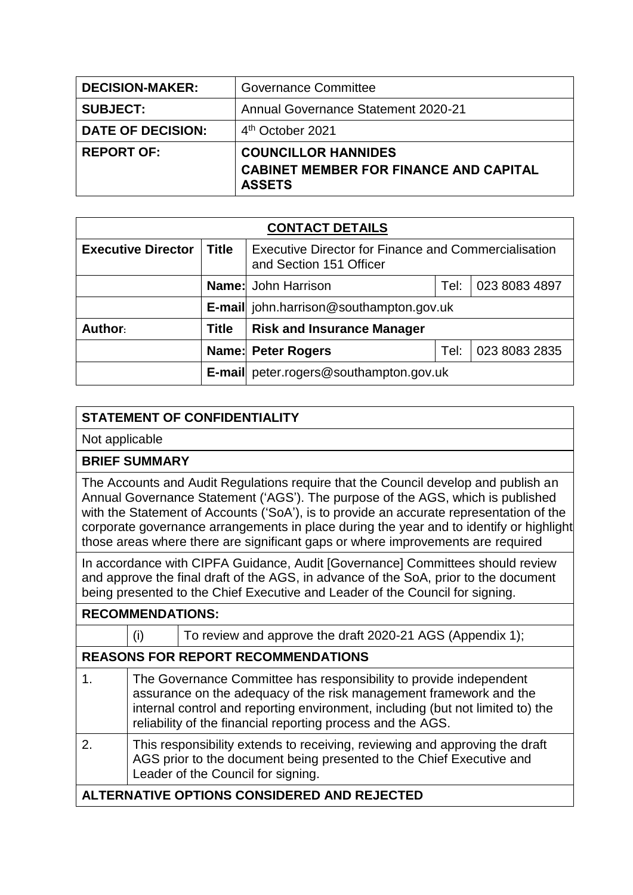| <b>DECISION-MAKER:</b>   | <b>Governance Committee</b>                                                                  |  |  |
|--------------------------|----------------------------------------------------------------------------------------------|--|--|
| <b>SUBJECT:</b>          | <b>Annual Governance Statement 2020-21</b>                                                   |  |  |
| <b>DATE OF DECISION:</b> | 4 <sup>th</sup> October 2021                                                                 |  |  |
| <b>REPORT OF:</b>        | <b>COUNCILLOR HANNIDES</b><br><b>CABINET MEMBER FOR FINANCE AND CAPITAL</b><br><b>ASSETS</b> |  |  |

| <b>CONTACT DETAILS</b>    |              |                                                                                 |      |               |  |  |
|---------------------------|--------------|---------------------------------------------------------------------------------|------|---------------|--|--|
| <b>Executive Director</b> | Title        | Executive Director for Finance and Commercialisation<br>and Section 151 Officer |      |               |  |  |
|                           |              | <b>Name:</b> John Harrison                                                      | Tel: | 023 8083 4897 |  |  |
|                           |              | <b>E-mail</b> john.harrison@southampton.gov.uk                                  |      |               |  |  |
| Author:                   | <b>Title</b> | <b>Risk and Insurance Manager</b>                                               |      |               |  |  |
|                           |              | <b>Name: Peter Rogers</b>                                                       | Tel: | 023 8083 2835 |  |  |
|                           |              | <b>E-mail</b> peter.rogers@southampton.gov.uk                                   |      |               |  |  |

## **STATEMENT OF CONFIDENTIALITY**

Not applicable

## **BRIEF SUMMARY**

The Accounts and Audit Regulations require that the Council develop and publish an Annual Governance Statement ('AGS'). The purpose of the AGS, which is published with the Statement of Accounts ('SoA'), is to provide an accurate representation of the corporate governance arrangements in place during the year and to identify or highlight those areas where there are significant gaps or where improvements are required

In accordance with CIPFA Guidance, Audit [Governance] Committees should review and approve the final draft of the AGS, in advance of the SoA, prior to the document being presented to the Chief Executive and Leader of the Council for signing.

| <b>RECOMMENDATIONS:</b>                     |                                                                                                                                                                                                                                                                                           |                                                           |  |
|---------------------------------------------|-------------------------------------------------------------------------------------------------------------------------------------------------------------------------------------------------------------------------------------------------------------------------------------------|-----------------------------------------------------------|--|
|                                             | (i)                                                                                                                                                                                                                                                                                       | To review and approve the draft 2020-21 AGS (Appendix 1); |  |
| <b>REASONS FOR REPORT RECOMMENDATIONS</b>   |                                                                                                                                                                                                                                                                                           |                                                           |  |
| 1.                                          | The Governance Committee has responsibility to provide independent<br>assurance on the adequacy of the risk management framework and the<br>internal control and reporting environment, including (but not limited to) the<br>reliability of the financial reporting process and the AGS. |                                                           |  |
| 2.                                          | This responsibility extends to receiving, reviewing and approving the draft<br>AGS prior to the document being presented to the Chief Executive and<br>Leader of the Council for signing.                                                                                                 |                                                           |  |
| ALTERNATIVE OPTIONS CONSIDERED AND REJECTED |                                                                                                                                                                                                                                                                                           |                                                           |  |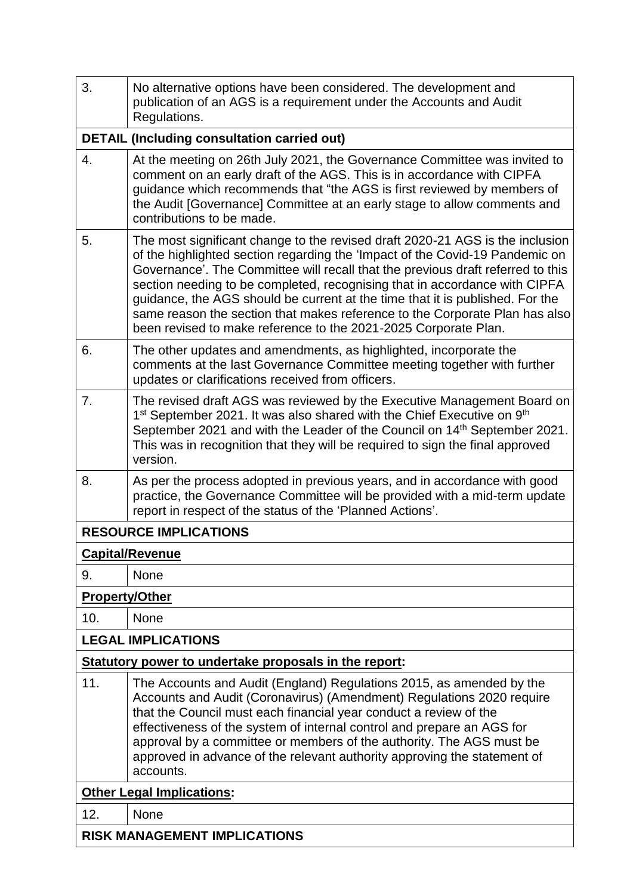| 3.                                  | No alternative options have been considered. The development and<br>publication of an AGS is a requirement under the Accounts and Audit<br>Regulations.                                                                                                                                                                                                                                                                                                                                                                                                           |  |  |
|-------------------------------------|-------------------------------------------------------------------------------------------------------------------------------------------------------------------------------------------------------------------------------------------------------------------------------------------------------------------------------------------------------------------------------------------------------------------------------------------------------------------------------------------------------------------------------------------------------------------|--|--|
|                                     | <b>DETAIL (Including consultation carried out)</b>                                                                                                                                                                                                                                                                                                                                                                                                                                                                                                                |  |  |
| 4.                                  | At the meeting on 26th July 2021, the Governance Committee was invited to<br>comment on an early draft of the AGS. This is in accordance with CIPFA<br>guidance which recommends that "the AGS is first reviewed by members of<br>the Audit [Governance] Committee at an early stage to allow comments and<br>contributions to be made.                                                                                                                                                                                                                           |  |  |
| 5.                                  | The most significant change to the revised draft 2020-21 AGS is the inclusion<br>of the highlighted section regarding the 'Impact of the Covid-19 Pandemic on<br>Governance'. The Committee will recall that the previous draft referred to this<br>section needing to be completed, recognising that in accordance with CIPFA<br>guidance, the AGS should be current at the time that it is published. For the<br>same reason the section that makes reference to the Corporate Plan has also<br>been revised to make reference to the 2021-2025 Corporate Plan. |  |  |
| 6.                                  | The other updates and amendments, as highlighted, incorporate the<br>comments at the last Governance Committee meeting together with further<br>updates or clarifications received from officers.                                                                                                                                                                                                                                                                                                                                                                 |  |  |
| 7.                                  | The revised draft AGS was reviewed by the Executive Management Board on<br>1 <sup>st</sup> September 2021. It was also shared with the Chief Executive on 9 <sup>th</sup><br>September 2021 and with the Leader of the Council on 14 <sup>th</sup> September 2021.<br>This was in recognition that they will be required to sign the final approved<br>version.                                                                                                                                                                                                   |  |  |
| 8.                                  | As per the process adopted in previous years, and in accordance with good<br>practice, the Governance Committee will be provided with a mid-term update<br>report in respect of the status of the 'Planned Actions'.                                                                                                                                                                                                                                                                                                                                              |  |  |
|                                     | <b>RESOURCE IMPLICATIONS</b>                                                                                                                                                                                                                                                                                                                                                                                                                                                                                                                                      |  |  |
|                                     | <b>Capital/Revenue</b>                                                                                                                                                                                                                                                                                                                                                                                                                                                                                                                                            |  |  |
| 9.                                  | <b>None</b>                                                                                                                                                                                                                                                                                                                                                                                                                                                                                                                                                       |  |  |
| <b>Property/Other</b>               |                                                                                                                                                                                                                                                                                                                                                                                                                                                                                                                                                                   |  |  |
| 10.                                 | <b>None</b>                                                                                                                                                                                                                                                                                                                                                                                                                                                                                                                                                       |  |  |
|                                     | <b>LEGAL IMPLICATIONS</b>                                                                                                                                                                                                                                                                                                                                                                                                                                                                                                                                         |  |  |
|                                     | Statutory power to undertake proposals in the report:                                                                                                                                                                                                                                                                                                                                                                                                                                                                                                             |  |  |
| 11.                                 | The Accounts and Audit (England) Regulations 2015, as amended by the<br>Accounts and Audit (Coronavirus) (Amendment) Regulations 2020 require<br>that the Council must each financial year conduct a review of the<br>effectiveness of the system of internal control and prepare an AGS for<br>approval by a committee or members of the authority. The AGS must be<br>approved in advance of the relevant authority approving the statement of<br>accounts.                                                                                                     |  |  |
|                                     | <b>Other Legal Implications:</b>                                                                                                                                                                                                                                                                                                                                                                                                                                                                                                                                  |  |  |
| 12.                                 | None                                                                                                                                                                                                                                                                                                                                                                                                                                                                                                                                                              |  |  |
| <b>RISK MANAGEMENT IMPLICATIONS</b> |                                                                                                                                                                                                                                                                                                                                                                                                                                                                                                                                                                   |  |  |